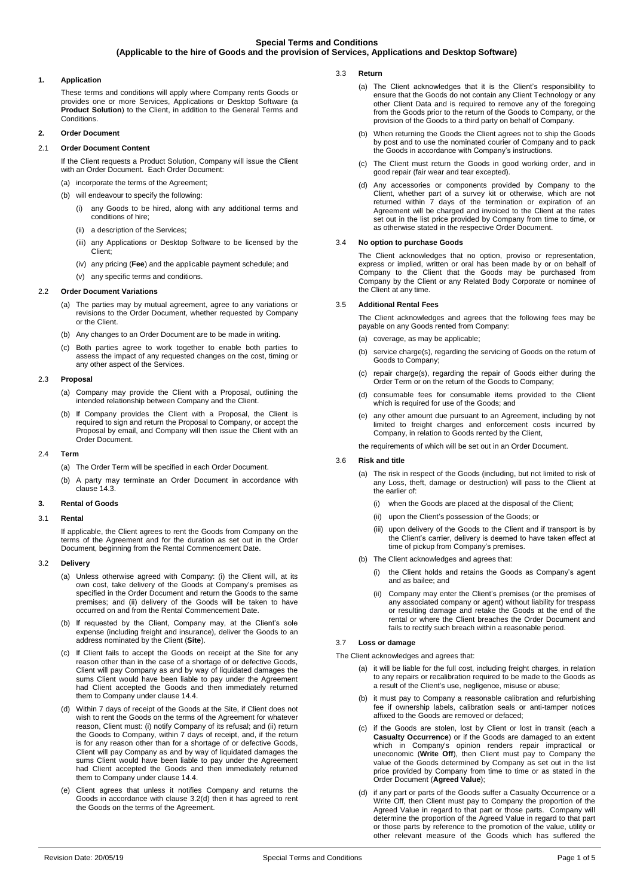# **1. Application**

These terms and conditions will apply where Company rents Goods or provides one or more Services, Applications or Desktop Software (a **Product Solution**) to the Client, in addition to the General Terms and **Conditions** 

# **2. Order Document**

## 2.1 **Order Document Content**

If the Client requests a Product Solution, Company will issue the Client with an Order Document. Each Order Document: (a) incorporate the terms of the Agreement;

- (b) will endeavour to specify the following:
	- (i) any Goods to be hired, along with any additional terms and conditions of hire;
	- (ii) a description of the Services:
	- (iii) any Applications or Desktop Software to be licensed by the Client;
	- (iv) any pricing (**Fee**) and the applicable payment schedule; and
- (v) any specific terms and conditions.

### 2.2 **Order Document Variations**

- (a) The parties may by mutual agreement, agree to any variations or revisions to the Order Document, whether requested by Company or the Client.
- (b) Any changes to an Order Document are to be made in writing.
- (c) Both parties agree to work together to enable both parties to assess the impact of any requested changes on the cost, timing or any other aspect of the Services.

# 2.3 **Proposal**

- (a) Company may provide the Client with a Proposal, outlining the intended relationship between Company and the Client.
- (b) If Company provides the Client with a Proposal, the Client is required to sign and return the Proposal to Company, or accept the Proposal by email, and Company will then issue the Client with an Order Document.

## 2.4 **Term**

- (a) The Order Term will be specified in each Order Document.
- (b) A party may terminate an Order Document in accordance with clause [14.3.](#page-2-0)

#### **3. Rental of Goods**

### 3.1 **Rental**

If applicable, the Client agrees to rent the Goods from Company on the terms of the Agreement and for the duration as set out in the Order Document, beginning from the Rental Commencement Date.

## 3.2 **Delivery**

- (a) Unless otherwise agreed with Company: (i) the Client will, at its own cost, take delivery of the Goods at Company's premises as specified in the Order Document and return the Goods to the same premises; and (ii) delivery of the Goods will be taken to have occurred on and from the Rental Commencement Date.
- (b) If requested by the Client, Company may, at the Client's sole expense (including freight and insurance), deliver the Goods to an address nominated by the Client (**Site**).
- (c) If Client fails to accept the Goods on receipt at the Site for any reason other than in the case of a shortage of or defective Goods, Client will pay Company as and by way of liquidated damages the sums Client would have been liable to pay under the Agreement had Client accepted the Goods and then immediately returned them to Company under clause [14.4.](#page-3-0)
- <span id="page-0-0"></span>(d) Within 7 days of receipt of the Goods at the Site, if Client does not wish to rent the Goods on the terms of the Agreement for whatever reason, Client must: (i) notify Company of its refusal; and (ii) return the Goods to Company, within 7 days of receipt, and, if the return is for any reason other than for a shortage of or defective Goods, Client will pay Company as and by way of liquidated damages the sums Client would have been liable to pay under the Agreement had Client accepted the Goods and then immediately returned them to Company under claus[e 14.4.](#page-3-0)
- (e) Client agrees that unless it notifies Company and returns the Goods in accordance with clause [3.2\(d\)](#page-0-0) then it has agreed to rent the Goods on the terms of the Agreement.
- 3.3 **Return** 
	- (a) The Client acknowledges that it is the Client's responsibility to ensure that the Goods do not contain any Client Technology or any other Client Data and is required to remove any of the foregoing from the Goods prior to the return of the Goods to Company, or the provision of the Goods to a third party on behalf of Company.
	- (b) When returning the Goods the Client agrees not to ship the Goods by post and to use the nominated courier of Company and to pack the Goods in accordance with Company's instructions.
	- (c) The Client must return the Goods in good working order, and in good repair (fair wear and tear excepted).
	- (d) Any accessories or components provided by Company to the Client, whether part of a survey kit or otherwise, which are not returned within 7 days of the termination or expiration of an Agreement will be charged and invoiced to the Client at the rates set out in the list price provided by Company from time to time, or as otherwise stated in the respective Order Document.

### <span id="page-0-3"></span>3.4 **No option to purchase Goods**

The Client acknowledges that no option, proviso or representation, express or implied, written or oral has been made by or on behalf of Company to the Client that the Goods may be purchased from Company by the Client or any Related Body Corporate or nominee of the Client at any time.

#### 3.5 **Additional Rental Fees**

The Client acknowledges and agrees that the following fees may be payable on any Goods rented from Company:

- (a) coverage, as may be applicable;
- (b) service charge(s), regarding the servicing of Goods on the return of Goods to Company;
- (c) repair charge(s), regarding the repair of Goods either during the Order Term or on the return of the Goods to Company;
- (d) consumable fees for consumable items provided to the Client which is required for use of the Goods; and
- (e) any other amount due pursuant to an Agreement, including by not limited to freight charges and enforcement costs incurred by Company, in relation to Goods rented by the Client,

the requirements of which will be set out in an Order Document.

### 3.6 **Risk and title**

- (a) The risk in respect of the Goods (including, but not limited to risk of any Loss, theft, damage or destruction) will pass to the Client at the earlier of:
	- (i) when the Goods are placed at the disposal of the Client;
	- (ii) upon the Client's possession of the Goods; or
	- (iii) upon delivery of the Goods to the Client and if transport is by the Client's carrier, delivery is deemed to have taken effect at time of pickup from Company's premises.
- (b) The Client acknowledges and agrees that:
	- (i) the Client holds and retains the Goods as Company's agent and as bailee; and
	- (ii) Company may enter the Client's premises (or the premises of any associated company or agent) without liability for trespass or resulting damage and retake the Goods at the end of the rental or where the Client breaches the Order Document and fails to rectify such breach within a reasonable period.

### 3.7 **Loss or damage**

The Client acknowledges and agrees that:

- (a) it will be liable for the full cost, including freight charges, in relation to any repairs or recalibration required to be made to the Goods as a result of the Client's use, negligence, misuse or abuse;
- (b) it must pay to Company a reasonable calibration and refurbishing fee if ownership labels, calibration seals or anti-tamper notices affixed to the Goods are removed or defaced;
- <span id="page-0-1"></span>(c) if the Goods are stolen, lost by Client or lost in transit (each a **Casualty Occurrence**) or if the Goods are damaged to an extent which in Company's opinion renders repair impractical or uneconomic (**Write Off**), then Client must pay to Company the value of the Goods determined by Company as set out in the list price provided by Company from time to time or as stated in the Order Document (**Agreed Value**);
- <span id="page-0-2"></span>(d) if any part or parts of the Goods suffer a Casualty Occurrence or a Write Off, then Client must pay to Company the proportion of the Agreed Value in regard to that part or those parts. Company will determine the proportion of the Agreed Value in regard to that part or those parts by reference to the promotion of the value, utility or other relevant measure of the Goods which has suffered the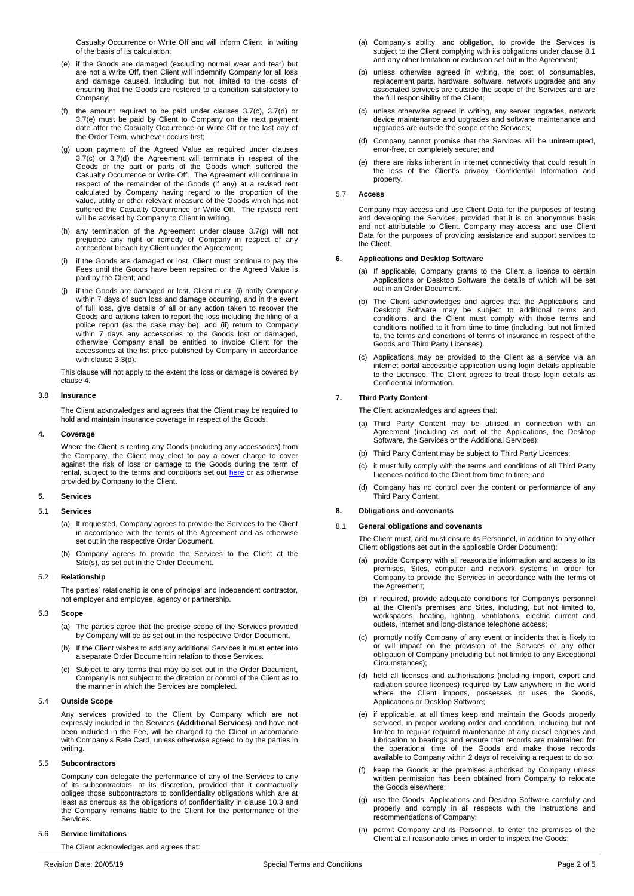Casualty Occurrence or Write Off and will inform Client in writing of the basis of its calculation;

- <span id="page-1-0"></span>(e) if the Goods are damaged (excluding normal wear and tear) but are not a Write Off, then Client will indemnify Company for all loss and damage caused, including but not limited to the costs of ensuring that the Goods are restored to a condition satisfactory to Company;
- (f) the amount required to be paid under clauses [3.7\(c\),](#page-0-1) [3.7\(d\)](#page-0-2) or [3.7\(e\)](#page-1-0) must be paid by Client to Company on the next payment date after the Casualty Occurrence or Write Off or the last day of the Order Term, whichever occurs first;
- <span id="page-1-1"></span>(g) upon payment of the Agreed Value as required under clauses [3.7\(c\)](#page-0-1) or [3.7\(d\)](#page-0-2) the Agreement will terminate in respect of the Goods or the part or parts of the Goods which suffered the Casualty Occurrence or Write Off. The Agreement will continue in respect of the remainder of the Goods (if any) at a revised rent calculated by Company having regard to the proportion of the value, utility or other relevant measure of the Goods which has not suffered the Casualty Occurrence or Write Off. The revised rent will be advised by Company to Client in writing.
- (h) any termination of the Agreement under clause [3.7\(g\)](#page-1-1) will not prejudice any right or remedy of Company in respect of any antecedent breach by Client under the Agreement;
- (i) if the Goods are damaged or lost, Client must continue to pay the Fees until the Goods have been repaired or the Agreed Value is paid by the Client; and
- <span id="page-1-6"></span>if the Goods are damaged or lost, Client must: (i) notify Company within 7 days of such loss and damage occurring, and in the event of full loss, give details of all or any action taken to recover the Goods and actions taken to report the loss including the filing of a police report (as the case may be); and (ii) return to Company within 7 days any accessories to the Goods lost or damaged, otherwise Company shall be entitled to invoice Client for the accessories at the list price published by Company in accordance with clause [3.3\(d\).](#page-0-3)

This clause will not apply to the extent the loss or damage is covered by claus[e 4.](#page-1-2)

#### 3.8 **Insurance**

The Client acknowledges and agrees that the Client may be required to hold and maintain insurance coverage in respect of the Goods.

#### <span id="page-1-2"></span>**4. Coverage**

Where the Client is renting any Goods (including any accessories) from the Company, the Client may elect to pay a cover charge to cover against the risk of loss or damage to the Goods during the term of rental, subject to the terms and conditions set ou[t here](https://www.imdexlimited.com/media/home/Coverage-Summary-September-2018.pdf) or as otherwise provided by Company to the Client.

# **5. Services**

### 5.1 **Services**

- (a) If requested, Company agrees to provide the Services to the Client in accordance with the terms of the Agreement and as otherwise set out in the respective Order Document.
- (b) Company agrees to provide the Services to the Client at the Site(s), as set out in the Order Document.

### 5.2 **Relationship**

The parties' relationship is one of principal and independent contractor, not employer and employee, agency or partnership.

# 5.3 **Scope**

- (a) The parties agree that the precise scope of the Services provided by Company will be as set out in the respective Order Document.
- (b) If the Client wishes to add any additional Services it must enter into a separate Order Document in relation to those Services.
- (c) Subject to any terms that may be set out in the Order Document, Company is not subject to the direction or control of the Client as to the manner in which the Services are completed.

### 5.4 **Outside Scope**

Any services provided to the Client by Company which are not expressly included in the Services (**Additional Services**) and have not been included in the Fee, will be charged to the Client in accordance with Company's Rate Card, unless otherwise agreed to by the parties in writing.

### 5.5 **Subcontractors**

Company can delegate the performance of any of the Services to any of its subcontractors, at its discretion, provided that it contractually obliges those subcontractors to confidentiality obligations which are at least as onerous as the obligations of confidentiality in clause [10.3](#page-2-1) and the Company remains liable to the Client for the performance of the Services.

### 5.6 **Service limitations**

The Client acknowledges and agrees that:

- (a) Company's ability, and obligation, to provide the Services is subject to the Client complying with its obligations under claus[e 8.1](#page-1-3) and any other limitation or exclusion set out in the Agreement;
- (b) unless otherwise agreed in writing, the cost of consumables, replacement parts, hardware, software, network upgrades and any associated services are outside the scope of the Services and are the full responsibility of the Client;
- (c) unless otherwise agreed in writing, any server upgrades, network device maintenance and upgrades and software maintenance and upgrades are outside the scope of the Services;
- (d) Company cannot promise that the Services will be uninterrupted, error-free, or completely secure; and
- (e) there are risks inherent in internet connectivity that could result in the loss of the Client's privacy, Confidential Information and property.

# 5.7 **Access**

Company may access and use Client Data for the purposes of testing and developing the Services, provided that it is on anonymous basis and not attributable to Client. Company may access and use Client Data for the purposes of providing assistance and support services to the Client.

#### **6. Applications and Desktop Software**

- (a) If applicable, Company grants to the Client a licence to certain Applications or Desktop Software the details of which will be set out in an Order Document.
- (b) The Client acknowledges and agrees that the Applications and Desktop Software may be subject to additional terms and conditions, and the Client must comply with those terms and conditions notified to it from time to time (including, but not limited to, the terms and conditions of terms of insurance in respect of the Goods and Third Party Licenses).
- (c) Applications may be provided to the Client as a service via an internet portal accessible application using login details applicable to the Licensee. The Client agrees to treat those login details as Confidential Information.

# **7. Third Party Content**

The Client acknowledges and agrees that:

- (a) Third Party Content may be utilised in connection with an Agreement (including as part of the Applications, the Desktop Software, the Services or the Additional Services);
- (b) Third Party Content may be subject to Third Party Licences;
- (c) it must fully comply with the terms and conditions of all Third Party Licences notified to the Client from time to time; and
- (d) Company has no control over the content or performance of any Third Party Content.

# **8. Obligations and covenants**

### <span id="page-1-3"></span>8.1 **General obligations and covenants**

The Client must, and must ensure its Personnel, in addition to any other Client obligations set out in the applicable Order Document):

- (a) provide Company with all reasonable information and access to its premises, Sites, computer and network systems in order for Company to provide the Services in accordance with the terms of the Agreement;
- (b) if required, provide adequate conditions for Company's personnel at the Client's premises and Sites, including, but not limited to, workspaces, heating, lighting, ventilations, electric current and outlets, internet and long-distance telephone access;
- (c) promptly notify Company of any event or incidents that is likely to or will impact on the provision of the Services or any other obligation of Company (including but not limited to any Exceptional Circumstances);
- <span id="page-1-4"></span>(d) hold all licenses and authorisations (including import, export and radiation source licences) required by Law anywhere in the world where the Client imports, possesses or uses the Goods, Applications or Desktop Software;
- <span id="page-1-5"></span>(e) if applicable, at all times keep and maintain the Goods properly serviced, in proper working order and condition, including but not limited to regular required maintenance of any diesel engines and lubrication to bearings and ensure that records are maintained for the operational time of the Goods and make those records available to Company within 2 days of receiving a request to do so;
- keep the Goods at the premises authorised by Company unless written permission has been obtained from Company to relocate the Goods elsewhere;
- (g) use the Goods, Applications and Desktop Software carefully and properly and comply in all respects with the instructions and recommendations of Company;
- (h) permit Company and its Personnel, to enter the premises of the Client at all reasonable times in order to inspect the Goods;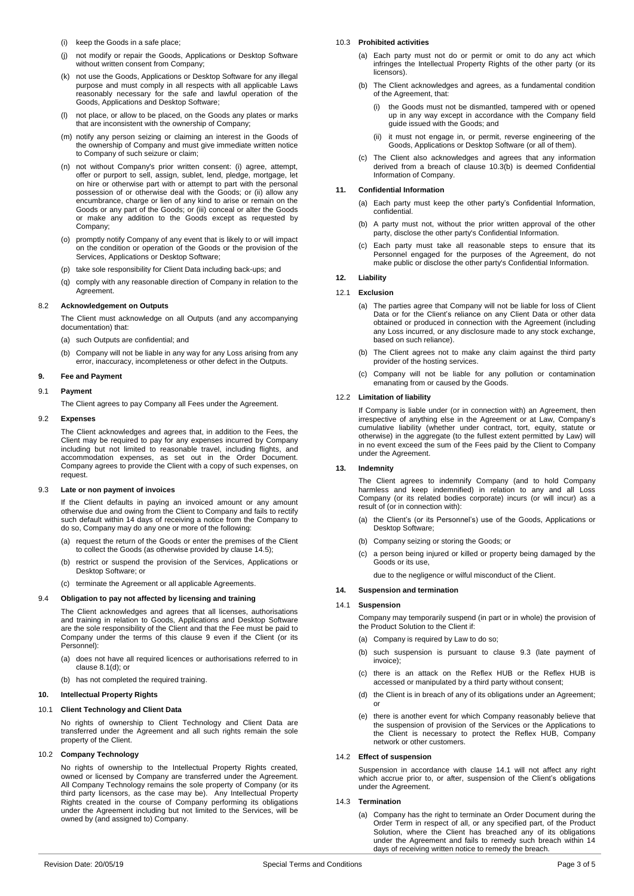- (i) keep the Goods in a safe place;
- (j) not modify or repair the Goods, Applications or Desktop Software without written consent from Company;
- (k) not use the Goods, Applications or Desktop Software for any illegal purpose and must comply in all respects with all applicable Laws reasonably necessary for the safe and lawful operation of the Goods, Applications and Desktop Software;
- (l) not place, or allow to be placed, on the Goods any plates or marks that are inconsistent with the ownership of Company;
- (m) notify any person seizing or claiming an interest in the Goods of the ownership of Company and must give immediate written notice to Company of such seizure or claim;
- (n) not without Company's prior written consent: (i) agree, attempt, offer or purport to sell, assign, sublet, lend, pledge, mortgage, let on hire or otherwise part with or attempt to part with the personal possession of or otherwise deal with the Goods; or (ii) allow any encumbrance, charge or lien of any kind to arise or remain on the Goods or any part of the Goods; or (iii) conceal or alter the Goods or make any addition to the Goods except as requested by Company;
- (o) promptly notify Company of any event that is likely to or will impact on the condition or operation of the Goods or the provision of the Services, Applications or Desktop Software;
- (p) take sole responsibility for Client Data including back-ups; and
- (q) comply with any reasonable direction of Company in relation to the **Agreement**

### 8.2 **Acknowledgement on Outputs**

The Client must acknowledge on all Outputs (and any accompanying documentation) that:

- (a) such Outputs are confidential; and
- (b) Company will not be liable in any way for any Loss arising from any error, inaccuracy, incompleteness or other defect in the Outputs.

# <span id="page-2-2"></span>**9. Fee and Payment**

## 9.1 **Payment**

The Client agrees to pay Company all Fees under the Agreement.

### 9.2 **Expenses**

The Client acknowledges and agrees that, in addition to the Fees, the Client may be required to pay for any expenses incurred by Company including but not limited to reasonable travel, including flights, and accommodation expenses, as set out in the Order Document. Company agrees to provide the Client with a copy of such expenses, on request

### <span id="page-2-4"></span>9.3 **Late or non payment of invoices**

If the Client defaults in paying an invoiced amount or any amount otherwise due and owing from the Client to Company and fails to rectify such default within 14 days of receiving a notice from the Company to do so, Company may do any one or more of the following:

- (a) request the return of the Goods or enter the premises of the Client to collect the Goods (as otherwise provided by clause [14.5\);](#page-3-1)
- (b) restrict or suspend the provision of the Services, Applications or Desktop Software; or
- (c) terminate the Agreement or all applicable Agreements.

### 9.4 **Obligation to pay not affected by licensing and training**

The Client acknowledges and agrees that all licenses, authorisations and training in relation to Goods, Applications and Desktop Software are the sole responsibility of the Client and that the Fee must be paid to Company under the terms of this clause [9](#page-2-2) even if the Client (or its Personnel):

- (a) does not have all required licences or authorisations referred to in claus[e 8.1\(d\);](#page-1-4) or
- (b) has not completed the required training.

# <span id="page-2-6"></span>**10. Intellectual Property Rights**

### 10.1 **Client Technology and Client Data**

No rights of ownership to Client Technology and Client Data are transferred under the Agreement and all such rights remain the sole property of the Client.

### 10.2 **Company Technology**

No rights of ownership to the Intellectual Property Rights created, owned or licensed by Company are transferred under the Agreement. All Company Technology remains the sole property of Company (or its third party licensors, as the case may be). Any Intellectual Property Rights created in the course of Company performing its obligations under the Agreement including but not limited to the Services, will be owned by (and assigned to) Company.

### <span id="page-2-1"></span>10.3 **Prohibited activities**

- (a) Each party must not do or permit or omit to do any act which infringes the Intellectual Property Rights of the other party (or its licensors).
- <span id="page-2-3"></span>(b) The Client acknowledges and agrees, as a fundamental condition of the Agreement, that:
	- (i) the Goods must not be dismantled, tampered with or opened up in any way except in accordance with the Company field guide issued with the Goods; and
	- (ii) it must not engage in, or permit, reverse engineering of the Goods, Applications or Desktop Software (or all of them).
- (c) The Client also acknowledges and agrees that any information derived from a breach of clause [10.3\(b\)](#page-2-3) is deemed Confidential Information of Company.

## **11. Confidential Information**

- (a) Each party must keep the other party's Confidential Information, confidential.
- (b) A party must not, without the prior written approval of the other party, disclose the other party's Confidential Information.
- (c) Each party must take all reasonable steps to ensure that its Personnel engaged for the purposes of the Agreement, do not make public or disclose the other party's Confidential Information.

#### <span id="page-2-7"></span>**12. Liability**

#### 12.1 **Exclusion**

- (a) The parties agree that Company will not be liable for loss of Client Data or for the Client's reliance on any Client Data or other data obtained or produced in connection with the Agreement (including any Loss incurred, or any disclosure made to any stock exchange, based on such reliance).
- (b) The Client agrees not to make any claim against the third party provider of the hosting services.
- (c) Company will not be liable for any pollution or contamination emanating from or caused by the Goods.

## 12.2 **Limitation of liability**

If Company is liable under (or in connection with) an Agreement, then irrespective of anything else in the Agreement or at Law, Company's cumulative liability (whether under contract, tort, equity, statute or otherwise) in the aggregate (to the fullest extent permitted by Law) will in no event exceed the sum of the Fees paid by the Client to Company under the Agreement.

## <span id="page-2-8"></span>**13. Indemnity**

The Client agrees to indemnify Company (and to hold Company harmless and keep indemnified) in relation to any and all Loss Company (or its related bodies corporate) incurs (or will incur) as a result of (or in connection with):

- (a) the Client's (or its Personnel's) use of the Goods, Applications or Desktop Software;
- (b) Company seizing or storing the Goods; or
- (c) a person being injured or killed or property being damaged by the Goods or its use,

due to the negligence or wilful misconduct of the Client.

# **14. Suspension and termination**

#### <span id="page-2-5"></span>14.1 **Suspension**

Company may temporarily suspend (in part or in whole) the provision of the Product Solution to the Client if:

- (a) Company is required by Law to do so;
- (b) such suspension is pursuant to clause [9.3](#page-2-4) (late payment of invoice);
- (c) there is an attack on the Reflex HUB or the Reflex HUB is accessed or manipulated by a third party without consent;
- (d) the Client is in breach of any of its obligations under an Agreement; or
- (e) there is another event for which Company reasonably believe that the suspension of provision of the Services or the Applications to the Client is necessary to protect the Reflex HUB, Company network or other customers.

## 14.2 **Effect of suspension**

Suspension in accordance with clause [14.1](#page-2-5) will not affect any right which accrue prior to, or after, suspension of the Client's obligations under the Agreement.

## <span id="page-2-0"></span>14.3 **Termination**

(a) Company has the right to terminate an Order Document during the Order Term in respect of all, or any specified part, of the Product Solution, where the Client has breached any of its obligations under the Agreement and fails to remedy such breach within 14 days of receiving written notice to remedy the breach.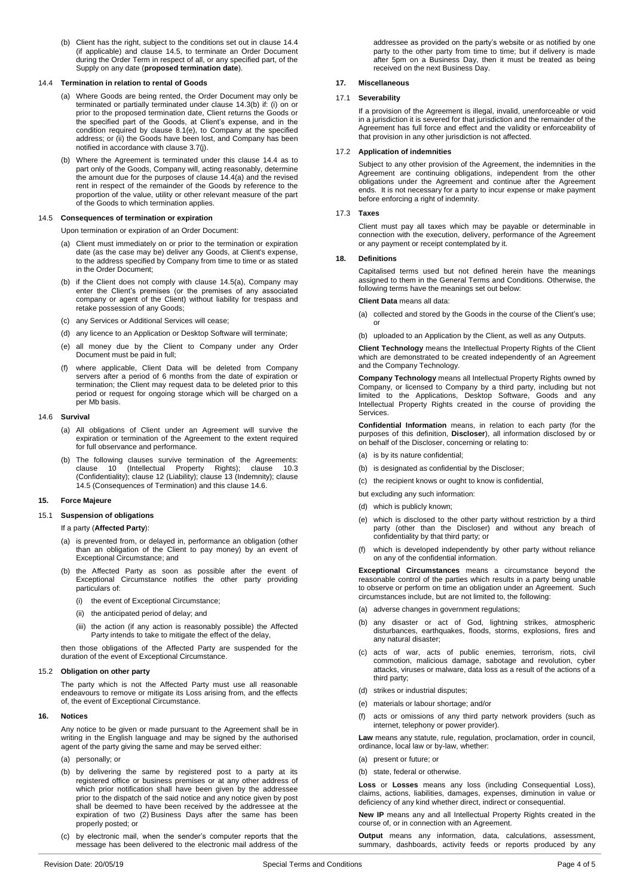<span id="page-3-2"></span>(b) Client has the right, subject to the conditions set out in clause [14.4](#page-3-0) (if applicable) and clause [14.5,](#page-3-1) to terminate an Order Document during the Order Term in respect of all, or any specified part, of the Supply on any date (**proposed termination date**).

#### <span id="page-3-3"></span><span id="page-3-0"></span>14.4 **Termination in relation to rental of Goods**

- (a) Where Goods are being rented, the Order Document may only be terminated or partially terminated under clause [14.3\(b\)](#page-3-2) if: (i) on or prior to the proposed termination date, Client returns the Goods or the specified part of the Goods, at Client's expense, and in the condition required by clause [8.1\(e\),](#page-1-5) to Company at the specified address; or (ii) the Goods have been lost, and Company has been notified in accordance with clause [3.7\(j\).](#page-1-6)
- (b) Where the Agreement is terminated under this clause [14.4](#page-3-0) as to part only of the Goods, Company will, acting reasonably, determine the amount due for the purposes of clause [14.4\(a\)](#page-3-3) and the revised rent in respect of the remainder of the Goods by reference to the proportion of the value, utility or other relevant measure of the part of the Goods to which termination applies.

# <span id="page-3-4"></span><span id="page-3-1"></span>14.5 **Consequences of termination or expiration**

Upon termination or expiration of an Order Document:

- (a) Client must immediately on or prior to the termination or expiration date (as the case may be) deliver any Goods, at Client's expense, to the address specified by Company from time to time or as stated in the Order Document;
- (b) if the Client does not comply with clause [14.5\(a\),](#page-3-4) Company may enter the Client's premises (or the premises of any associated company or agent of the Client) without liability for trespass and retake possession of any Goods;
- (c) any Services or Additional Services will cease;
- (d) any licence to an Application or Desktop Software will terminate;
- (e) all money due by the Client to Company under any Order Document must be paid in full;
- (f) where applicable, Client Data will be deleted from Company servers after a period of 6 months from the date of expiration or termination; the Client may request data to be deleted prior to this period or request for ongoing storage which will be charged on a per Mb basis.

#### <span id="page-3-5"></span>14.6 **Survival**

- (a) All obligations of Client under an Agreement will survive the expiration or termination of the Agreement to the extent required for full observance and performance.
- (b) The following clauses survive termination of the Agreements: clause [10](#page-2-6) (Intellectual Property Rights); clause [10.3](#page-2-1) (Confidentiality); clause [12](#page-2-7) (Liability); clause [13](#page-2-8) (Indemnity); clause [14.5](#page-3-1) (Consequences of Termination) and this claus[e 14.6.](#page-3-5)

### **15. Force Majeure**

## 15.1 **Suspension of obligations**

If a party (**Affected Party**):

- (a) is prevented from, or delayed in, performance an obligation (other than an obligation of the Client to pay money) by an event of Exceptional Circumstance; and
- (b) the Affected Party as soon as possible after the event of Exceptional Circumstance notifies the other party providing particulars of:
	- (i) the event of Exceptional Circumstance;
	- (ii) the anticipated period of delay; and
	- (iii) the action (if any action is reasonably possible) the Affected Party intends to take to mitigate the effect of the delay,

then those obligations of the Affected Party are suspended for the duration of the event of Exceptional Circumstance.

## 15.2 **Obligation on other party**

The party which is not the Affected Party must use all reasonable endeavours to remove or mitigate its Loss arising from, and the effects of, the event of Exceptional Circumstance.

#### **16. Notices**

Any notice to be given or made pursuant to the Agreement shall be in writing in the English language and may be signed by the authorised agent of the party giving the same and may be served either:

(a) personally; or

- (b) by delivering the same by registered post to a party at its registered office or business premises or at any other address of which prior notification shall have been given by the addressee prior to the dispatch of the said notice and any notice given by post shall be deemed to have been received by the addressee at the expiration of two (2) Business Days after the same has been properly posted; or
- (c) by electronic mail, when the sender's computer reports that the message has been delivered to the electronic mail address of the

addressee as provided on the party's website or as notified by one party to the other party from time to time; but if delivery is made after 5pm on a Business Day, then it must be treated as being received on the next Business Day.

### **17. Miscellaneous**

# 17.1 **Severability**

If a provision of the Agreement is illegal, invalid, unenforceable or void in a jurisdiction it is severed for that jurisdiction and the remainder of the Agreement has full force and effect and the validity or enforceability of that provision in any other jurisdiction is not affected.

#### 17.2 **Application of indemnities**

Subject to any other provision of the Agreement, the indemnities in the Agreement are continuing obligations, independent from the other obligations under the Agreement and continue after the Agreement ends. It is not necessary for a party to incur expense or make payment before enforcing a right of indemnity.

#### 17.3 **Taxes**

Client must pay all taxes which may be payable or determinable in connection with the execution, delivery, performance of the Agreement or any payment or receipt contemplated by it.

## **18. Definitions**

Capitalised terms used but not defined herein have the meanings assigned to them in the General Terms and Conditions. Otherwise, the following terms have the meanings set out below:

**Client Data** means all data:

- (a) collected and stored by the Goods in the course of the Client's use; or
- (b) uploaded to an Application by the Client, as well as any Outputs.

**Client Technology** means the Intellectual Property Rights of the Client which are demonstrated to be created independently of an Agreement and the Company Technology.

**Company Technology** means all Intellectual Property Rights owned by Company, or licensed to Company by a third party, including but not limited to the Applications, Desktop Software, Goods and any Intellectual Property Rights created in the course of providing the **Services** 

**Confidential Information** means, in relation to each party (for the purposes of this definition, **Discloser**), all information disclosed by or on behalf of the Discloser, concerning or relating to:

- (a) is by its nature confidential;
- (b) is designated as confidential by the Discloser;
- (c) the recipient knows or ought to know is confidential,

but excluding any such information:

- (d) which is publicly known;
- (e) which is disclosed to the other party without restriction by a third party (other than the Discloser) and without any breach of confidentiality by that third party; or
- (f) which is developed independently by other party without reliance on any of the confidential information.

**Exceptional Circumstances** means a circumstance beyond the reasonable control of the parties which results in a party being unable to observe or perform on time an obligation under an Agreement. Such circumstances include, but are not limited to, the following:

- (a) adverse changes in government regulations;
- (b) any disaster or act of God, lightning strikes, atmospheric disturbances, earthquakes, floods, storms, explosions, fires and any natural disaster;
- (c) acts of war, acts of public enemies, terrorism, riots, civil commotion, malicious damage, sabotage and revolution, cyber attacks, viruses or malware, data loss as a result of the actions of a third party;
- (d) strikes or industrial disputes;
- (e) materials or labour shortage; and/or
- (f) acts or omissions of any third party network providers (such as internet, telephony or power provider).

**Law** means any statute, rule, regulation, proclamation, order in council, ordinance, local law or by-law, whether:

- (a) present or future; or
- (b) state, federal or otherwise.

**Loss** or **Losses** means any loss (including Consequential Loss), claims, actions, liabilities, damages, expenses, diminution in value or deficiency of any kind whether direct, indirect or consequential.

**New IP** means any and all Intellectual Property Rights created in the course of, or in connection with an Agreement.

**Output** means any information, data, calculations, assessment, summary, dashboards, activity feeds or reports produced by any